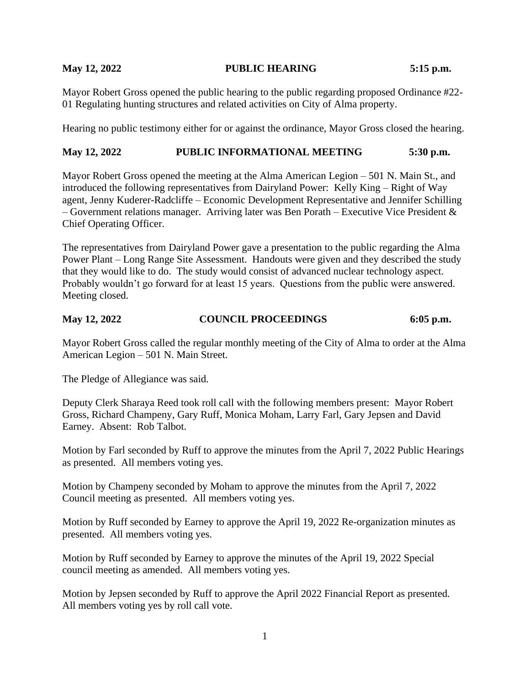#### **May 12, 2022 PUBLIC HEARING 5:15 p.m.**

Mayor Robert Gross opened the public hearing to the public regarding proposed Ordinance #22- 01 Regulating hunting structures and related activities on City of Alma property.

Hearing no public testimony either for or against the ordinance, Mayor Gross closed the hearing.

## **May 12, 2022 PUBLIC INFORMATIONAL MEETING 5:30 p.m.**

Mayor Robert Gross opened the meeting at the Alma American Legion – 501 N. Main St., and introduced the following representatives from Dairyland Power: Kelly King – Right of Way agent, Jenny Kuderer-Radcliffe – Economic Development Representative and Jennifer Schilling – Government relations manager. Arriving later was Ben Porath – Executive Vice President  $\&$ Chief Operating Officer.

The representatives from Dairyland Power gave a presentation to the public regarding the Alma Power Plant – Long Range Site Assessment. Handouts were given and they described the study that they would like to do. The study would consist of advanced nuclear technology aspect. Probably wouldn't go forward for at least 15 years. Questions from the public were answered. Meeting closed.

### **May 12, 2022 COUNCIL PROCEEDINGS 6:05 p.m.**

Mayor Robert Gross called the regular monthly meeting of the City of Alma to order at the Alma American Legion – 501 N. Main Street.

The Pledge of Allegiance was said.

Deputy Clerk Sharaya Reed took roll call with the following members present: Mayor Robert Gross, Richard Champeny, Gary Ruff, Monica Moham, Larry Farl, Gary Jepsen and David Earney. Absent: Rob Talbot.

Motion by Farl seconded by Ruff to approve the minutes from the April 7, 2022 Public Hearings as presented. All members voting yes.

Motion by Champeny seconded by Moham to approve the minutes from the April 7, 2022 Council meeting as presented. All members voting yes.

Motion by Ruff seconded by Earney to approve the April 19, 2022 Re-organization minutes as presented. All members voting yes.

Motion by Ruff seconded by Earney to approve the minutes of the April 19, 2022 Special council meeting as amended. All members voting yes.

Motion by Jepsen seconded by Ruff to approve the April 2022 Financial Report as presented. All members voting yes by roll call vote.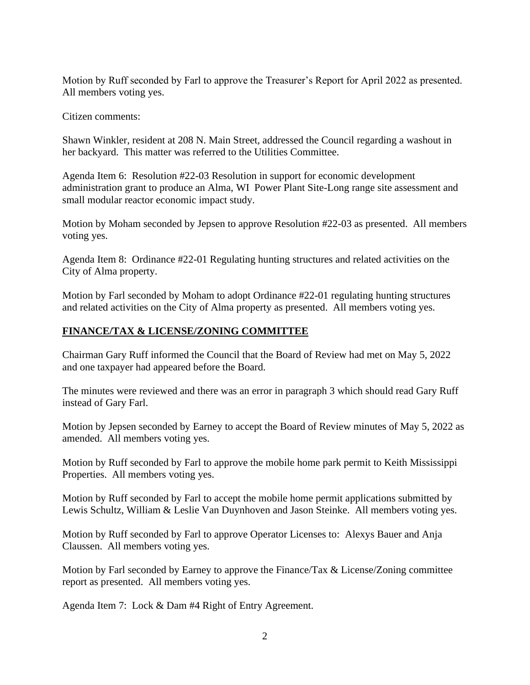Motion by Ruff seconded by Farl to approve the Treasurer's Report for April 2022 as presented. All members voting yes.

Citizen comments:

Shawn Winkler, resident at 208 N. Main Street, addressed the Council regarding a washout in her backyard. This matter was referred to the Utilities Committee.

Agenda Item 6: Resolution #22-03 Resolution in support for economic development administration grant to produce an Alma, WI Power Plant Site-Long range site assessment and small modular reactor economic impact study.

Motion by Moham seconded by Jepsen to approve Resolution #22-03 as presented. All members voting yes.

Agenda Item 8: Ordinance #22-01 Regulating hunting structures and related activities on the City of Alma property.

Motion by Farl seconded by Moham to adopt Ordinance #22-01 regulating hunting structures and related activities on the City of Alma property as presented. All members voting yes.

## **FINANCE/TAX & LICENSE/ZONING COMMITTEE**

Chairman Gary Ruff informed the Council that the Board of Review had met on May 5, 2022 and one taxpayer had appeared before the Board.

The minutes were reviewed and there was an error in paragraph 3 which should read Gary Ruff instead of Gary Farl.

Motion by Jepsen seconded by Earney to accept the Board of Review minutes of May 5, 2022 as amended. All members voting yes.

Motion by Ruff seconded by Farl to approve the mobile home park permit to Keith Mississippi Properties. All members voting yes.

Motion by Ruff seconded by Farl to accept the mobile home permit applications submitted by Lewis Schultz, William & Leslie Van Duynhoven and Jason Steinke. All members voting yes.

Motion by Ruff seconded by Farl to approve Operator Licenses to: Alexys Bauer and Anja Claussen. All members voting yes.

Motion by Farl seconded by Earney to approve the Finance/Tax & License/Zoning committee report as presented. All members voting yes.

Agenda Item 7: Lock & Dam #4 Right of Entry Agreement.